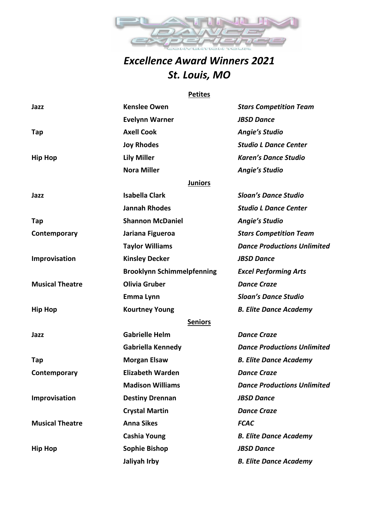

## *Excellence Award Winners 2021 St. Louis, MO*

#### **Petites**

| Jazz                   | <b>Kenslee Owen</b>               | <b>Stars Competition Team</b>      |
|------------------------|-----------------------------------|------------------------------------|
|                        | <b>Evelynn Warner</b>             | <b>JBSD Dance</b>                  |
| Tap                    | <b>Axell Cook</b>                 | <b>Angie's Studio</b>              |
|                        | <b>Joy Rhodes</b>                 | <b>Studio L Dance Center</b>       |
| <b>Hip Hop</b>         | <b>Lily Miller</b>                | <b>Karen's Dance Studio</b>        |
|                        | <b>Nora Miller</b>                | <b>Angie's Studio</b>              |
|                        | <b>Juniors</b>                    |                                    |
| Jazz                   | <b>Isabella Clark</b>             | <b>Sloan's Dance Studio</b>        |
|                        | <b>Jannah Rhodes</b>              | <b>Studio L Dance Center</b>       |
| Tap                    | <b>Shannon McDaniel</b>           | <b>Angie's Studio</b>              |
| Contemporary           | Jariana Figueroa                  | <b>Stars Competition Team</b>      |
|                        | <b>Taylor Williams</b>            | <b>Dance Productions Unlimited</b> |
| Improvisation          | <b>Kinsley Decker</b>             | <b>JBSD Dance</b>                  |
|                        | <b>Brooklynn Schimmelpfenning</b> | <b>Excel Performing Arts</b>       |
| <b>Musical Theatre</b> | <b>Olivia Gruber</b>              | <b>Dance Craze</b>                 |
|                        | Emma Lynn                         | <b>Sloan's Dance Studio</b>        |
| <b>Hip Hop</b>         | <b>Kourtney Young</b>             | <b>B. Elite Dance Academy</b>      |
|                        | <b>Seniors</b>                    |                                    |
| Jazz                   | <b>Gabrielle Helm</b>             | <b>Dance Craze</b>                 |
|                        | <b>Gabriella Kennedy</b>          | <b>Dance Productions Unlimited</b> |
| Tap                    | <b>Morgan Elsaw</b>               | <b>B. Elite Dance Academy</b>      |
| Contemporary           | <b>Elizabeth Warden</b>           | <b>Dance Craze</b>                 |
|                        | <b>Madison Williams</b>           | <b>Dance Productions Unlimited</b> |
| Improvisation          | <b>Destiny Drennan</b>            | <b>JBSD Dance</b>                  |
|                        | <b>Crystal Martin</b>             | <b>Dance Craze</b>                 |
| <b>Musical Theatre</b> | <b>Anna Sikes</b>                 | <b>FCAC</b>                        |
|                        | <b>Cashia Young</b>               | <b>B. Elite Dance Academy</b>      |
| <b>Hip Hop</b>         | <b>Sophie Bishop</b>              | <b>JBSD Dance</b>                  |
|                        | Jaliyah Irby                      | <b>B. Elite Dance Academy</b>      |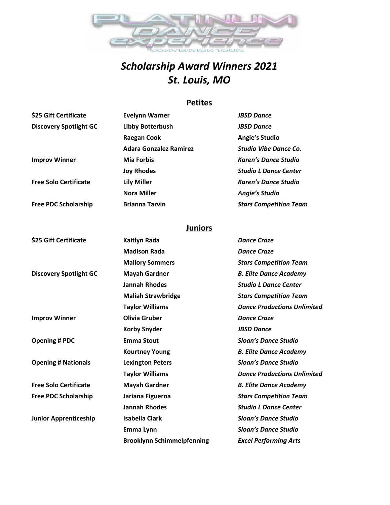

# *Scholarship Award Winners 2021 St. Louis, MO*

### **Petites**

| \$25 Gift Certificate         | Evelynn Warner                | <b>JBSD Dance</b>             |
|-------------------------------|-------------------------------|-------------------------------|
| <b>Discovery Spotlight GC</b> | Libby Botterbush              | <b>JBSD Dance</b>             |
|                               | <b>Raegan Cook</b>            | <b>Angie's Studio</b>         |
|                               | <b>Adara Gonzalez Ramirez</b> | <b>Studio Vibe Dance Co.</b>  |
| <b>Improv Winner</b>          | <b>Mia Forbis</b>             | <b>Karen's Dance Studio</b>   |
|                               | <b>Joy Rhodes</b>             | <b>Studio L Dance Center</b>  |
| <b>Free Solo Certificate</b>  | <b>Lily Miller</b>            | <b>Karen's Dance Studio</b>   |
|                               | <b>Nora Miller</b>            | <b>Angie's Studio</b>         |
| <b>Free PDC Scholarship</b>   | <b>Brianna Tarvin</b>         | <b>Stars Competition Team</b> |

### **Juniors**

| \$25 Gift Certificate         | <b>Kaitlyn Rada</b>               | <b>Dance Craze</b>                 |
|-------------------------------|-----------------------------------|------------------------------------|
|                               | <b>Madison Rada</b>               | <b>Dance Craze</b>                 |
|                               | <b>Mallory Sommers</b>            | <b>Stars Competition Team</b>      |
| <b>Discovery Spotlight GC</b> | <b>Mayah Gardner</b>              | <b>B. Elite Dance Academy</b>      |
|                               | <b>Jannah Rhodes</b>              | <b>Studio L Dance Center</b>       |
|                               | <b>Maliah Strawbridge</b>         | <b>Stars Competition Team</b>      |
|                               | <b>Taylor Williams</b>            | <b>Dance Productions Unlimited</b> |
| <b>Improv Winner</b>          | <b>Olivia Gruber</b>              | <b>Dance Craze</b>                 |
|                               | <b>Korby Snyder</b>               | <b>JBSD Dance</b>                  |
| <b>Opening # PDC</b>          | <b>Emma Stout</b>                 | <b>Sloan's Dance Studio</b>        |
|                               | <b>Kourtney Young</b>             | <b>B. Elite Dance Academy</b>      |
| <b>Opening # Nationals</b>    | <b>Lexington Peters</b>           | <b>Sloan's Dance Studio</b>        |
|                               | <b>Taylor Williams</b>            | <b>Dance Productions Unlimited</b> |
| <b>Free Solo Certificate</b>  | <b>Mayah Gardner</b>              | <b>B. Elite Dance Academy</b>      |
| <b>Free PDC Scholarship</b>   | Jariana Figueroa                  | <b>Stars Competition Team</b>      |
|                               | <b>Jannah Rhodes</b>              | <b>Studio L Dance Center</b>       |
| <b>Junior Apprenticeship</b>  | <b>Isabella Clark</b>             | <b>Sloan's Dance Studio</b>        |
|                               | Emma Lynn                         | <b>Sloan's Dance Studio</b>        |
|                               | <b>Brooklynn Schimmelpfenning</b> | <b>Excel Performing Arts</b>       |